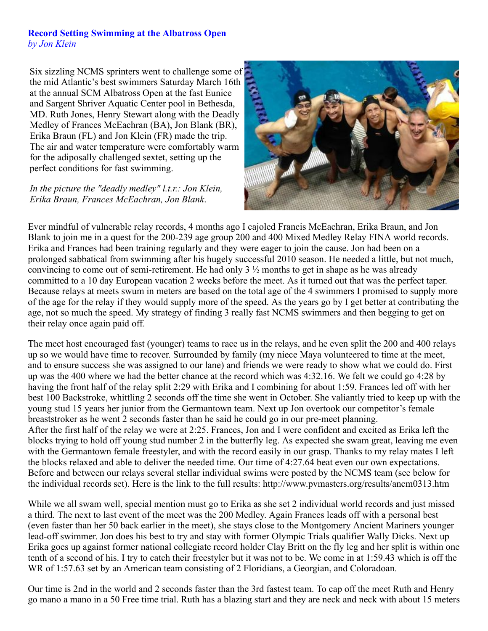## **Record Setting Swimming at the Albatross Open** *by Jon Klein*

Six sizzling NCMS sprinters went to challenge some of the mid Atlantic's best swimmers Saturday March 16th at the annual SCM Albatross Open at the fast Eunice and Sargent Shriver Aquatic Center pool in Bethesda, MD. Ruth Jones, Henry Stewart along with the Deadly Medley of Frances McEachran (BA), Jon Blank (BR), Erika Braun (FL) and Jon Klein (FR) made the trip. The air and water temperature were comfortably warm for the adiposally challenged sextet, setting up the perfect conditions for fast swimming.

*In the picture the "deadly medley" l.t.r.: Jon Klein, Erika Braun, Frances McEachran, Jon Blank*.



Ever mindful of vulnerable relay records, 4 months ago I cajoled Francis McEachran, Erika Braun, and Jon Blank to join me in a quest for the 200-239 age group 200 and 400 Mixed Medley Relay FINA world records. Erika and Frances had been training regularly and they were eager to join the cause. Jon had been on a prolonged sabbatical from swimming after his hugely successful 2010 season. He needed a little, but not much, convincing to come out of semi-retirement. He had only 3 ½ months to get in shape as he was already committed to a 10 day European vacation 2 weeks before the meet. As it turned out that was the perfect taper. Because relays at meets swum in meters are based on the total age of the 4 swimmers I promised to supply more of the age for the relay if they would supply more of the speed. As the years go by I get better at contributing the age, not so much the speed. My strategy of finding 3 really fast NCMS swimmers and then begging to get on their relay once again paid off.

The meet host encouraged fast (younger) teams to race us in the relays, and he even split the 200 and 400 relays up so we would have time to recover. Surrounded by family (my niece Maya volunteered to time at the meet, and to ensure success she was assigned to our lane) and friends we were ready to show what we could do. First up was the 400 where we had the better chance at the record which was 4:32.16. We felt we could go 4:28 by having the front half of the relay split 2:29 with Erika and I combining for about 1:59. Frances led off with her best 100 Backstroke, whittling 2 seconds off the time she went in October. She valiantly tried to keep up with the young stud 15 years her junior from the Germantown team. Next up Jon overtook our competitor's female breaststroker as he went 2 seconds faster than he said he could go in our pre-meet planning. After the first half of the relay we were at 2:25. Frances, Jon and I were confident and excited as Erika left the blocks trying to hold off young stud number 2 in the butterfly leg. As expected she swam great, leaving me even with the Germantown female freestyler, and with the record easily in our grasp. Thanks to my relay mates I left the blocks relaxed and able to deliver the needed time. Our time of 4:27.64 beat even our own expectations. Before and between our relays several stellar individual swims were posted by the NCMS team (see below for the individual records set). Here is the link to the full results: http://www.pvmasters.org/results/ancm0313.htm

While we all swam well, special mention must go to Erika as she set 2 individual world records and just missed a third. The next to last event of the meet was the 200 Medley. Again Frances leads off with a personal best (even faster than her 50 back earlier in the meet), she stays close to the Montgomery Ancient Mariners younger lead-off swimmer. Jon does his best to try and stay with former Olympic Trials qualifier Wally Dicks. Next up Erika goes up against former national collegiate record holder Clay Britt on the fly leg and her split is within one tenth of a second of his. I try to catch their freestyler but it was not to be. We come in at 1:59.43 which is off the WR of 1:57.63 set by an American team consisting of 2 Floridians, a Georgian, and Coloradoan.

Our time is 2nd in the world and 2 seconds faster than the 3rd fastest team. To cap off the meet Ruth and Henry go mano a mano in a 50 Free time trial. Ruth has a blazing start and they are neck and neck with about 15 meters